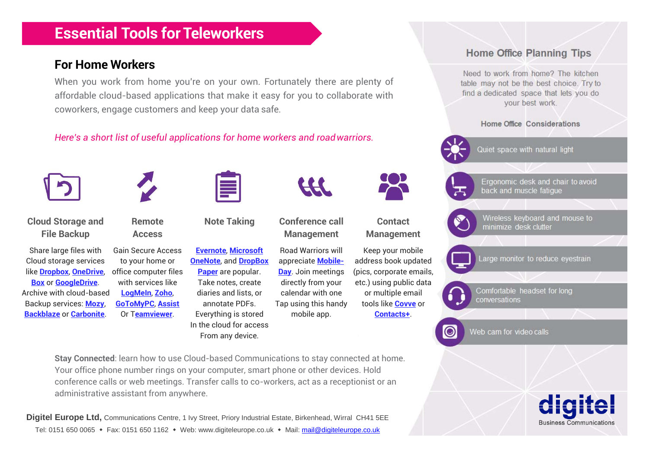# **Essential Tools for Teleworkers**

### **For Home Workers**

When you work from home you're on your own. Fortunately there are plenty of affordable cloud-based applications that make it easy for you to collaborate with coworkers, engage customers and keep your data safe.

#### *Here's a short list of useful applications for home workers and roadwarriors.*



**Stay Connected**: learn how to use Cloud-based Communications to stay connected at home. Your office phone number rings on your computer, smart phone or other devices. Hold conference calls or web meetings. Transfer calls to co-workers, act as a receptionist or an administrative assistant from anywhere.

**Digitel Europe Ltd,** Communications Centre, 1 Ivy Street, Priory Industrial Estate, Birkenhead, Wirral CH41 5EE Tel: 0151 650 0065 • Fax: 0151 650 1162 • Web: www.digiteleurope.co.uk • Mail[: mail@digiteleurope.co.uk](mailto:mail@digiteleurope.co.uk)



**Home Office Planning Tips** 

Need to work from home? The kitchen table may not be the best choice. Try to find a dedicated space that lets you do your best work.

Home Office Considerations

Quiet space with natural light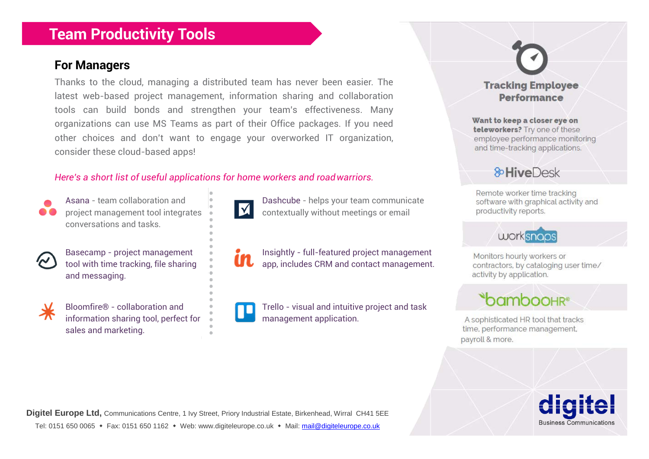## **Team Productivity Tools**

#### **For Managers**

Thanks to the cloud, managing a distributed team has never been easier. The latest web-based project management, information sharing and collaboration tools can build bonds and strengthen your team's effectiveness. Many organizations can use MS Teams as part of their Office packages. If you need other choices and don't want to engage your overworked IT organization, consider these cloud-based apps!

#### *Here's a short list of useful applications for home workers and roadwarriors.*



conversations and tasks.



and messaging.



information sharing tool, perfect for  $\Box$  management application. sales and marketing.



Asana - team collaboration and **Dashcube - helps your team communicate** project management tool integrates  $\mathbf{X}$  contextually without meetings or email

Basecamp - project management  $\overline{\phantom{a}}$  **Insightly** - full-featured project management tool with time tracking, file sharing  $\|\cdot\|$  app, includes CRM and contact management.

Bloomfire® - collaboration and  $\blacksquare$  Trello - visual and intuitive project and task



#### **Tracking Employee Performance**

Want to keep a closer eye on teleworkers? Try one of these employee performance monitoring and time-tracking applications.

## **&HiveDesk**

Remote worker time tracking software with graphical activity and productivity reports.

# worksnoos

Monitors hourly workers or contractors, by cataloging user time/ activity by application.



A sophisticated HR tool that tracks time, performance management, payroll & more.

**Business Communications** 

**Digitel Europe Ltd,** Communications Centre, 1 Ivy Street, Priory Industrial Estate, Birkenhead, Wirral CH41 5EE Tel: 0151 650 0065 • Fax: 0151 650 1162 • Web: www.digiteleurope.co.uk • Mail[: mail@digiteleurope.co.uk](mailto:mail@digiteleurope.co.uk)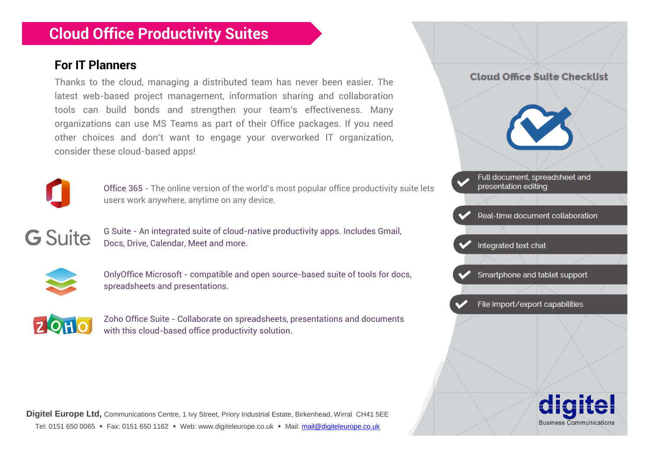# **Cloud Office Productivity Suites**

### **For IT Planners**

Thanks to the cloud, managing a distributed team has never been easier. The latest web-based project management, information sharing and collaboration tools can build bonds and strengthen your team's effectiveness. Many organizations can use MS Teams as part of their Office packages. If you need other choices and don't want to engage your overworked IT organization, consider these cloud-based apps!



Office 365 - The online version of the world's most popular office productivity suite lets users work anywhere, anytime on any device.

**G** Suite

G Suite - An integrated suite of cloud-native productivity apps. Includes Gmail, Docs, Drive, Calendar, Meet and more.



OnlyOffice Microsoft - compatible and open source-based suite of tools for docs, spreadsheets and presentations.



Zoho Office Suite - Collaborate on spreadsheets, presentations and documents with this cloud-based office productivity solution.

**Digitel Europe Ltd,** Communications Centre, 1 Ivy Street, Priory Industrial Estate, Birkenhead, Wirral CH41 5EE Tel: 0151 650 0065 • Fax: 0151 650 1162 • Web: www.digiteleurope.co.uk • Mail[: mail@digiteleurope.co.uk](mailto:mail@digiteleurope.co.uk)